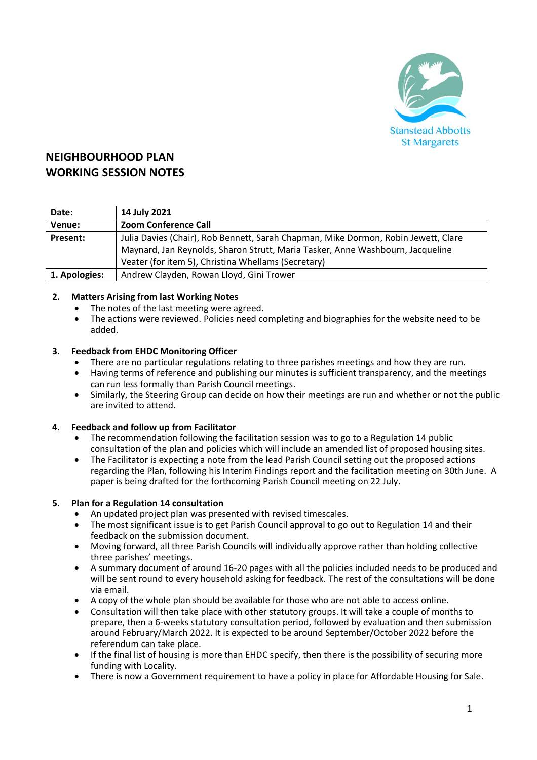

# **NEIGHBOURHOOD PLAN WORKING SESSION NOTES**

| Date:         | 14 July 2021                                                                       |
|---------------|------------------------------------------------------------------------------------|
| Venue:        | <b>Zoom Conference Call</b>                                                        |
| Present:      | Julia Davies (Chair), Rob Bennett, Sarah Chapman, Mike Dormon, Robin Jewett, Clare |
|               | Maynard, Jan Reynolds, Sharon Strutt, Maria Tasker, Anne Washbourn, Jacqueline     |
|               | Veater (for item 5), Christina Whellams (Secretary)                                |
| 1. Apologies: | Andrew Clayden, Rowan Lloyd, Gini Trower                                           |

## **2. Matters Arising from last Working Notes**

- The notes of the last meeting were agreed.
- The actions were reviewed. Policies need completing and biographies for the website need to be added.

#### **3. Feedback from EHDC Monitoring Officer**

- There are no particular regulations relating to three parishes meetings and how they are run.
- Having terms of reference and publishing our minutes is sufficient transparency, and the meetings can run less formally than Parish Council meetings.
- Similarly, the Steering Group can decide on how their meetings are run and whether or not the public are invited to attend.

## **4. Feedback and follow up from Facilitator**

- The recommendation following the facilitation session was to go to a Regulation 14 public consultation of the plan and policies which will include an amended list of proposed housing sites.
- The Facilitator is expecting a note from the lead Parish Council setting out the proposed actions regarding the Plan, following his Interim Findings report and the facilitation meeting on 30th June. A paper is being drafted for the forthcoming Parish Council meeting on 22 July.

## **5. Plan for a Regulation 14 consultation**

- An updated project plan was presented with revised timescales.
- The most significant issue is to get Parish Council approval to go out to Regulation 14 and their feedback on the submission document.
- Moving forward, all three Parish Councils will individually approve rather than holding collective three parishes' meetings.
- A summary document of around 16-20 pages with all the policies included needs to be produced and will be sent round to every household asking for feedback. The rest of the consultations will be done via email.
- A copy of the whole plan should be available for those who are not able to access online.
- Consultation will then take place with other statutory groups. It will take a couple of months to prepare, then a 6-weeks statutory consultation period, followed by evaluation and then submission around February/March 2022. It is expected to be around September/October 2022 before the referendum can take place.
- If the final list of housing is more than EHDC specify, then there is the possibility of securing more funding with Locality.
- There is now a Government requirement to have a policy in place for Affordable Housing for Sale.